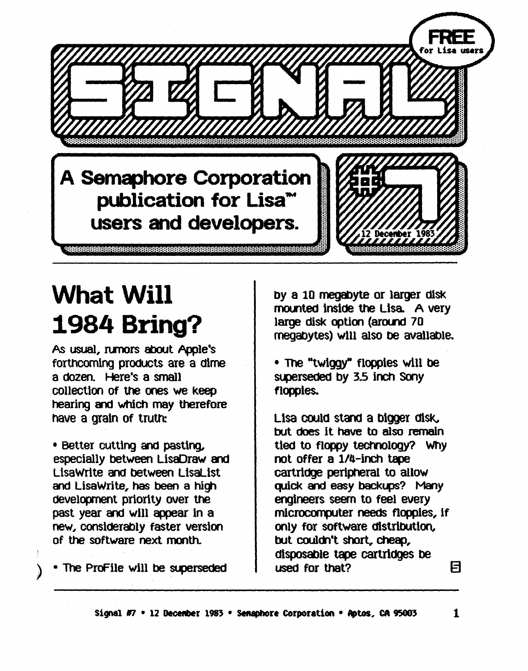A Semaphore Corporation publication for Lisa<sup>\*\*</sup> users and developers.

# What Will 1984 Bring?

As usual, nmors about Apple's forthcoming products are a dime a dozen. Here's a small collectioo Of the ones we keep hearing and which may therefore nave a gratn of trutn:

• Better cutting and pasting, especially between LisaDraw and Lisawrite and between LisaLlst and LisaWrite, has been a high development priority over the past year and will appear in a new, considerably faster version of the software next month.

) • The ProFile will be superseded

by a 10 megabyte or larger disk mounted inside the Lisa. A very large disk option (around 70 megabytes) will alSO De avallable.

• The "twiggy" floppies wlll be superseded by 3.5 inch Sony floppies.

Lisa could stand a bigger disk. but does it have to also remain tied to floppy technology? Why not offer a l/ll-inch tape cartridge peripheral to allow quick and easy backups? Many engineers seem to feel every microcomputer needs floppies, if only for software distribution, but coulm't short, cheap, disposable tape cartridges be used for that?  $\Box$ 

or Lisa user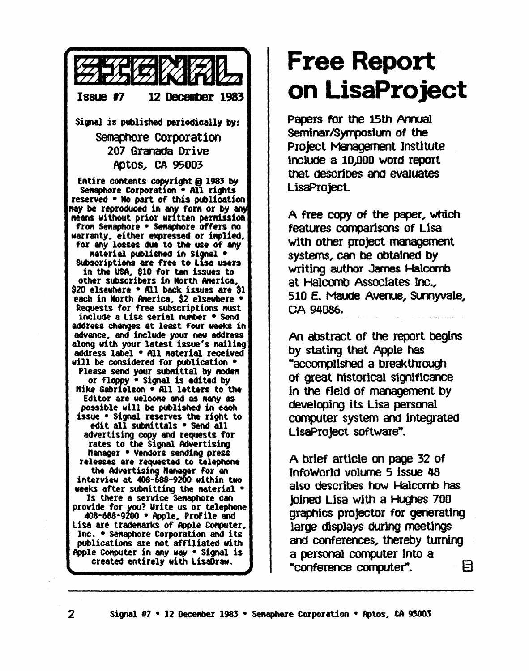

#### **Free Report on LisaProject**

Papers for the 15th Annual Seminar/Symposium of the Project Management Institute inclUde a 10))00 word report that deSCribes and evaluates LisaProject.

A free copy of the paper, which features cornpar1sons of LIsa with other project management systems, can be obtained by writing author James Halcomb at Halcomb Associates Inc., 510 E. Maude Avenue, Sunnyvale, CA 94086.

An abstract of the report begins by stating that Apple has "accompl1Shed a breakthrOtg'l of great historical significance In the field of management by developing its Lisa personal computer system and integrated LisaProject software".

A brief article on page 32 of InfoWorld volume 5 issue 48 also describes how Halcornb has joined Lisa with a Hughes 700 graphics projector for generating large displays dUring meetings and conferences, thereby turning a personal computer into a "conference computer".  $\qquad \qquad \boxdot$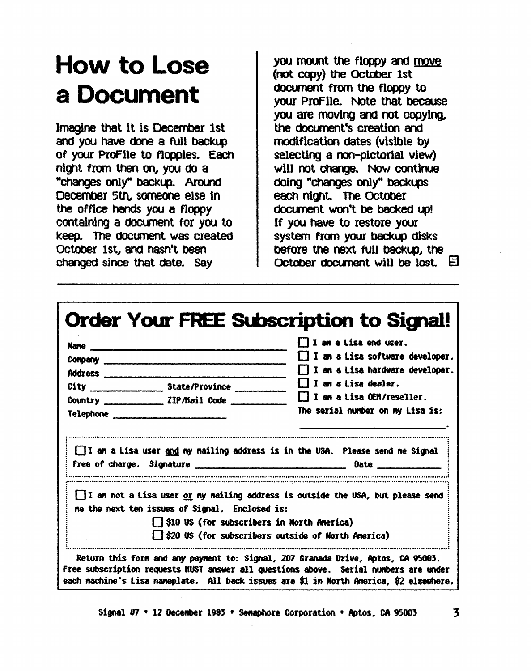### How to Lose a Document

Imagine that it is December 1st and you have done a full backup of your ProFile to floppies. Each night from then on, you do a "changes only" backup. Around December 5th, someone else in the office hands you a floppy containing a document for you to keep. The document was created October 1st, and hasn't been changed since that date. Say

you mount the floopy and move (not copy) the October 1st document from the floppy to vour ProFile. Note that because you are moving and not copying. the document's creation and modification dates (visible by selecting a non-pictorial view) will not change. Now continue doing "changes only" backups each night. The October document won't be backed up! If you have to restore your system from your backup disks before the next full backup, the October document will be lost.  $\boxdot$ 

|                                         |                                                | I I am a Lisa end user.                                                                                                                   |
|-----------------------------------------|------------------------------------------------|-------------------------------------------------------------------------------------------------------------------------------------------|
| Company company company company company |                                                | $\Box$ I an a Lisa software developer.                                                                                                    |
|                                         |                                                | $\Box$ I am a Lisa hardware developer.                                                                                                    |
|                                         |                                                | II an a Lisa dealer.                                                                                                                      |
|                                         | Country ______________ ZIP/Mail Code ________  | $\Box$ I am a Lisa OEM/reseller.                                                                                                          |
|                                         |                                                | The serial number on my Lisa is:                                                                                                          |
|                                         |                                                |                                                                                                                                           |
|                                         | me the next ten issues of Signal. Enclosed is: | $\Box$ I am not a Lisa user <u>or</u> my nailing address is outside the USA, but please send<br>S10 US (for subscribers in North America) |